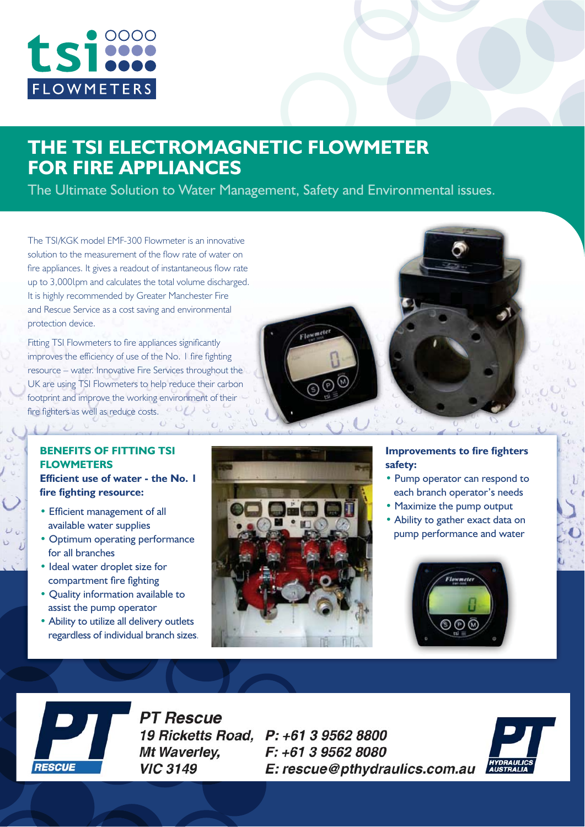

# **THE TSI ELECTROMAGNETIC FLOWMETER**

**FOR FIRE APPLIANCES** 5IF6MUJNBUF4PMVUJPOUP8BUFS.BOBHFNFOU
4BGFUZBOE&OWJSPONFOUBMJTTVFT

The TSI/KGK model EMF-300 Flowmeter is an innovative solution to the measurement of the flow rate of water on fire appliances. It gives a readout of instantaneous flow rate up to 3,000lpm and calculates the total volume discharged. It is highly recommended by Greater Manchester Fire and Rescue Service as a cost saving and environmental protection device.

Fitting TSI Flowmeters to fire appliances significantly improves the efficiency of use of the No. 1 fire fighting resource – water. Innovative Fire Services throughout the UK are using TSI Flowmeters to help reduce their carbon footprint and improve the working environment of their fire fighters as well as reduce costs.



### **BENFFITS OF FITTING TSI FLOWMETERS Efficient use of water - the No. I**

 $1 - U$ 

Fire fighting resource: **fire fighting resource:**

- Efficient management of all available water supplies
- Optimum operating performance for all branches
- Ideal water droplet size for compartment fire fighting
- Quality information available to assist the pump operator
- Ability to utilize all delivery outlets regardless of individual branch sizes.



## **Improvements to fire fighters**

- Pump operator can respond to each branch operator's needs
- Maximize the pump output
- Ability to gather exact data on pump performance and water





**PT Rescue** Mt Waverley, **VIC 3149** 

19 Ricketts Road, P: +61 3 9562 8800 F: +61 3 9562 8080 E: rescue@pthydraulics.com.au